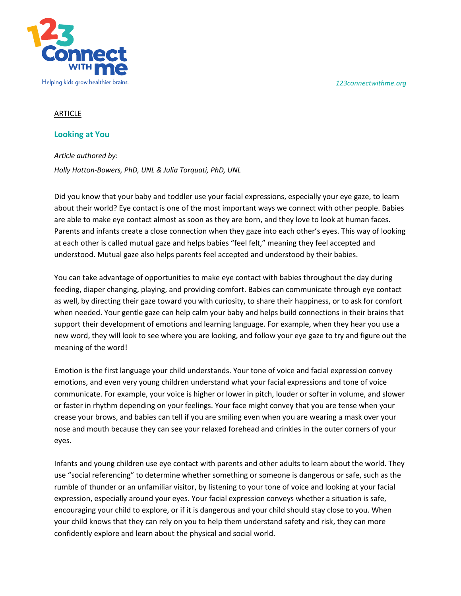*123connectwithme.org*



## **ARTICLE**

## **Looking at You**

*Article authored by: Holly Hatton-Bowers, PhD, UNL & Julia Torquati, PhD, UNL*

Did you know that your baby and toddler use your facial expressions, especially your eye gaze, to learn about their world? Eye contact is one of the most important ways we connect with other people. Babies are able to make eye contact almost as soon as they are born, and they love to look at human faces. Parents and infants create a close connection when they gaze into each other's eyes. This way of looking at each other is called mutual gaze and helps babies "feel felt," meaning they feel accepted and understood. Mutual gaze also helps parents feel accepted and understood by their babies.

You can take advantage of opportunities to make eye contact with babies throughout the day during feeding, diaper changing, playing, and providing comfort. Babies can communicate through eye contact as well, by directing their gaze toward you with curiosity, to share their happiness, or to ask for comfort when needed. Your gentle gaze can help calm your baby and helps build connections in their brains that support their development of emotions and learning language. For example, when they hear you use a new word, they will look to see where you are looking, and follow your eye gaze to try and figure out the meaning of the word!

Emotion is the first language your child understands. Your tone of voice and facial expression convey emotions, and even very young children understand what your facial expressions and tone of voice communicate. For example, your voice is higher or lower in pitch, louder or softer in volume, and slower or faster in rhythm depending on your feelings. Your face might convey that you are tense when your crease your brows, and babies can tell if you are smiling even when you are wearing a mask over your nose and mouth because they can see your relaxed forehead and crinkles in the outer corners of your eyes.

Infants and young children use eye contact with parents and other adults to learn about the world. They use "social referencing" to determine whether something or someone is dangerous or safe, such as the rumble of thunder or an unfamiliar visitor, by listening to your tone of voice and looking at your facial expression, especially around your eyes. Your facial expression conveys whether a situation is safe, encouraging your child to explore, or if it is dangerous and your child should stay close to you. When your child knows that they can rely on you to help them understand safety and risk, they can more confidently explore and learn about the physical and social world.